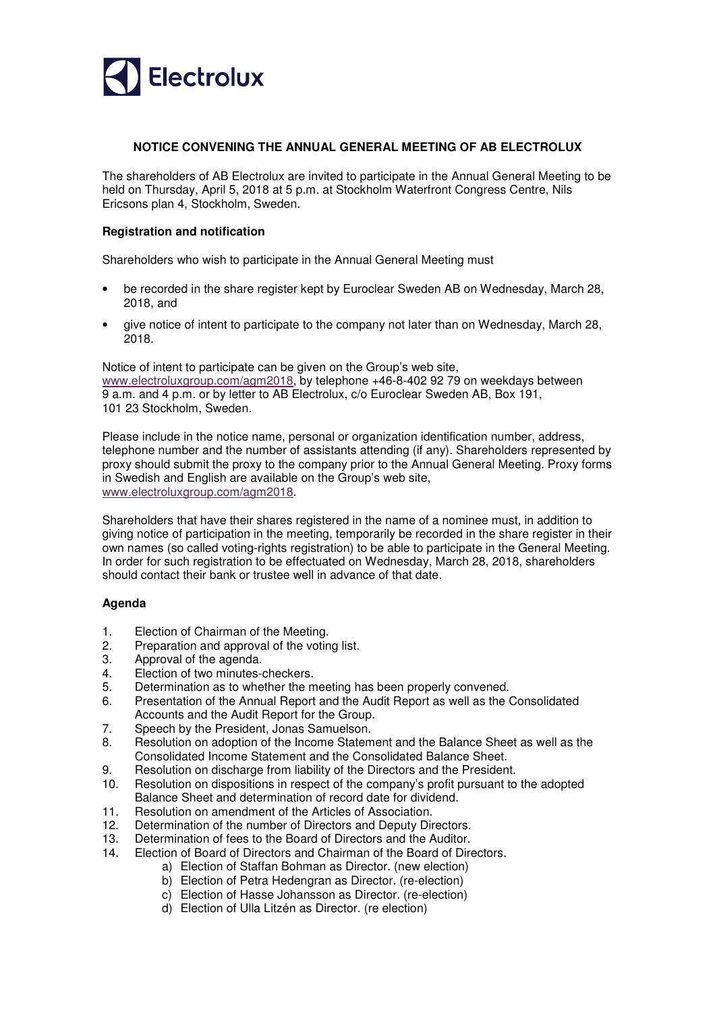

# **NOTICE CONVENING THE ANNUAL GENERAL MEETING OF AB ELECTROLUX**

The shareholders of AB Electrolux are invited to participate in the Annual General Meeting to be held on Thursday, April 5, 2018 at 5 p.m. at Stockholm Waterfront Congress Centre, Nils Ericsons plan 4, Stockholm, Sweden.

# **Registration and notification**

Shareholders who wish to participate in the Annual General Meeting must

- be recorded in the share register kept by Euroclear Sweden AB on Wednesday, March 28, 2018, and
- give notice of intent to participate to the company not later than on Wednesday, March 28, 2018.

Notice of intent to participate can be given on the Group's web site, www.electroluxgroup.com/agm2018, by telephone +46-8-402 92 79 on weekdays between 9 a.m. and 4 p.m. or by letter to AB Electrolux, c/o Euroclear Sweden AB, Box 191, 101 23 Stockholm, Sweden.

Please include in the notice name, personal or organization identification number, address, telephone number and the number of assistants attending (if any). Shareholders represented by proxy should submit the proxy to the company prior to the Annual General Meeting. Proxy forms in Swedish and English are available on the Group's web site, www.electroluxgroup.com/agm2018.

Shareholders that have their shares registered in the name of a nominee must, in addition to giving notice of participation in the meeting, temporarily be recorded in the share register in their own names (so called voting-rights registration) to be able to participate in the General Meeting. In order for such registration to be effectuated on Wednesday, March 28, 2018, shareholders should contact their bank or trustee well in advance of that date.

# **Agenda**

- 1. Election of Chairman of the Meeting.
- 2. Preparation and approval of the voting list.
- 3. Approval of the agenda.
- 4. Election of two minutes-checkers.
- 5. Determination as to whether the meeting has been properly convened.
- 6. Presentation of the Annual Report and the Audit Report as well as the Consolidated Accounts and the Audit Report for the Group.
- 7. Speech by the President, Jonas Samuelson.
- 8. Resolution on adoption of the Income Statement and the Balance Sheet as well as the Consolidated Income Statement and the Consolidated Balance Sheet.
- 9. Resolution on discharge from liability of the Directors and the President.<br>10. Resolution on dispositions in respect of the company's profit pursuant to
- 10. Resolution on dispositions in respect of the company's profit pursuant to the adopted Balance Sheet and determination of record date for dividend.
- 11. Resolution on amendment of the Articles of Association.
- 12. Determination of the number of Directors and Deputy Directors.
- 13. Determination of fees to the Board of Directors and the Auditor.
- 14. Election of Board of Directors and Chairman of the Board of Directors.
	- a) Election of Staffan Bohman as Director. (new election)
		- b) Election of Petra Hedengran as Director. (re-election)
		- c) Election of Hasse Johansson as Director. (re-election)
		- d) Election of Ulla Litzén as Director. (re election)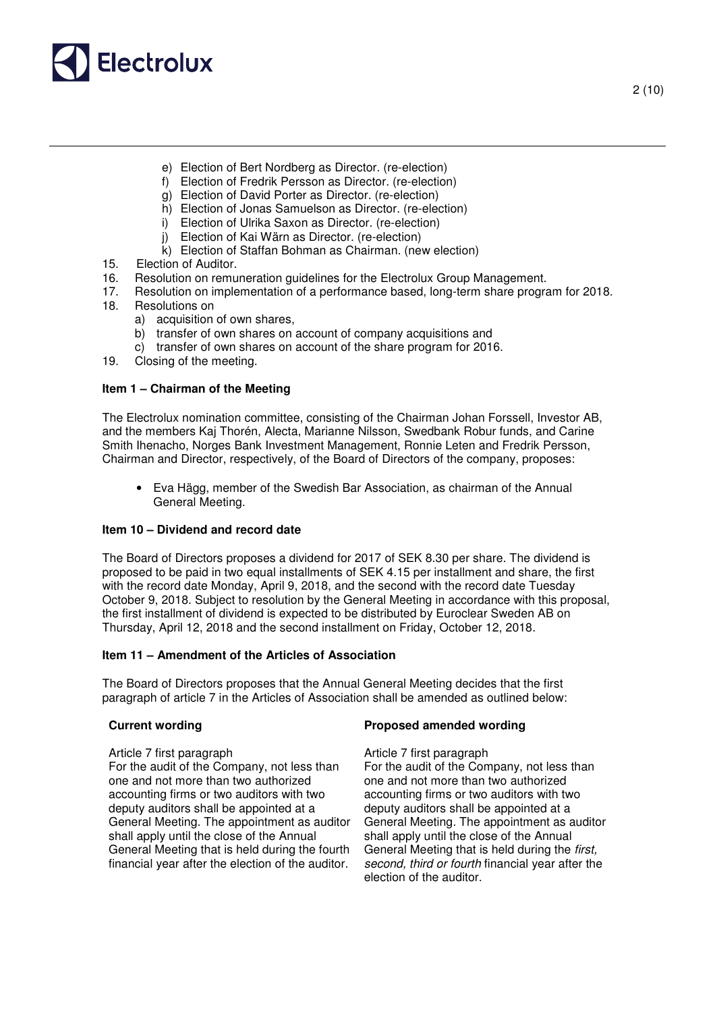

- e) Election of Bert Nordberg as Director. (re-election)
- f) Election of Fredrik Persson as Director. (re-election)
- g) Election of David Porter as Director. (re-election)
- h) Election of Jonas Samuelson as Director. (re-election)
- i) Election of Ulrika Saxon as Director. (re-election)
- j) Election of Kai Wärn as Director. (re-election)
- k) Election of Staffan Bohman as Chairman. (new election)
- 15. Election of Auditor.
- 16. Resolution on remuneration guidelines for the Electrolux Group Management.
- 17. Resolution on implementation of a performance based, long-term share program for 2018.
- 18. Resolutions on
	- a) acquisition of own shares,
	- b) transfer of own shares on account of company acquisitions and
	- c) transfer of own shares on account of the share program for 2016.
- 19. Closing of the meeting.

# **Item 1 – Chairman of the Meeting**

The Electrolux nomination committee, consisting of the Chairman Johan Forssell, Investor AB, and the members Kaj Thorén, Alecta, Marianne Nilsson, Swedbank Robur funds, and Carine Smith Ihenacho, Norges Bank Investment Management, Ronnie Leten and Fredrik Persson, Chairman and Director, respectively, of the Board of Directors of the company, proposes:

• Eva Hägg, member of the Swedish Bar Association, as chairman of the Annual General Meeting.

# **Item 10 – Dividend and record date**

The Board of Directors proposes a dividend for 2017 of SEK 8.30 per share. The dividend is proposed to be paid in two equal installments of SEK 4.15 per installment and share, the first with the record date Monday, April 9, 2018, and the second with the record date Tuesday October 9, 2018. Subject to resolution by the General Meeting in accordance with this proposal, the first installment of dividend is expected to be distributed by Euroclear Sweden AB on Thursday, April 12, 2018 and the second installment on Friday, October 12, 2018.

### **Item 11 – Amendment of the Articles of Association**

The Board of Directors proposes that the Annual General Meeting decides that the first paragraph of article 7 in the Articles of Association shall be amended as outlined below:

### **Current wording Proposed amended wording**

Article 7 first paragraph Article 7 first paragraph For the audit of the Company, not less than one and not more than two authorized accounting firms or two auditors with two deputy auditors shall be appointed at a General Meeting. The appointment as auditor shall apply until the close of the Annual General Meeting that is held during the fourth financial year after the election of the auditor.

For the audit of the Company, not less than one and not more than two authorized accounting firms or two auditors with two deputy auditors shall be appointed at a General Meeting. The appointment as auditor shall apply until the close of the Annual General Meeting that is held during the first, second, third or fourth financial year after the election of the auditor.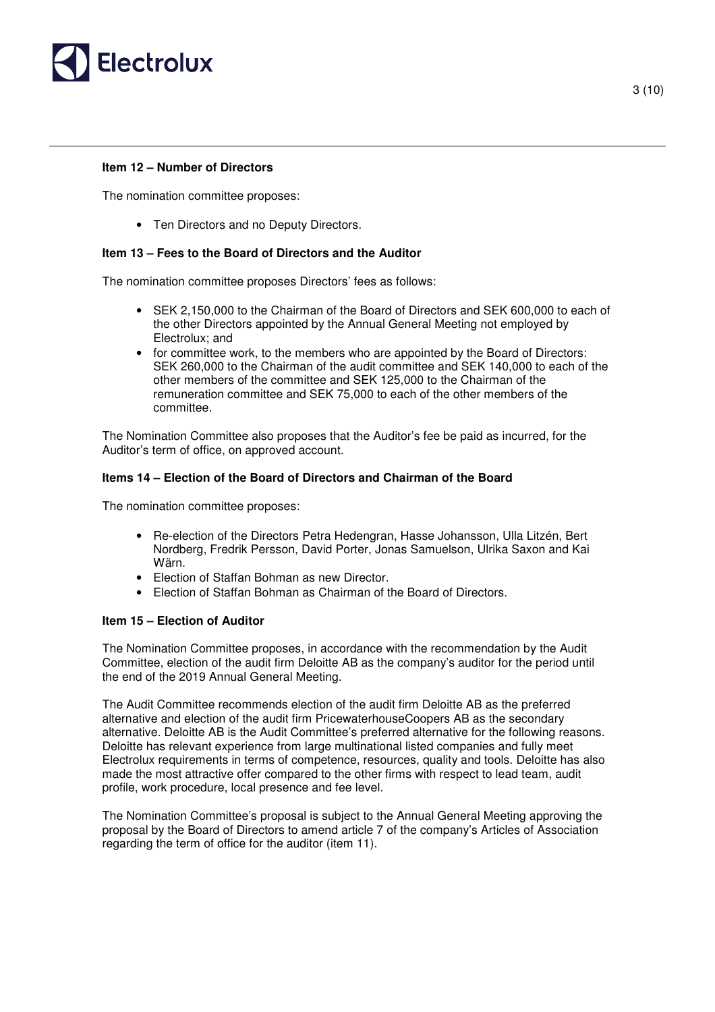

## **Item 12 – Number of Directors**

The nomination committee proposes:

• Ten Directors and no Deputy Directors.

## **Item 13 – Fees to the Board of Directors and the Auditor**

The nomination committee proposes Directors' fees as follows:

- SEK 2,150,000 to the Chairman of the Board of Directors and SEK 600,000 to each of the other Directors appointed by the Annual General Meeting not employed by Electrolux; and
- for committee work, to the members who are appointed by the Board of Directors: SEK 260,000 to the Chairman of the audit committee and SEK 140,000 to each of the other members of the committee and SEK 125,000 to the Chairman of the remuneration committee and SEK 75,000 to each of the other members of the committee.

The Nomination Committee also proposes that the Auditor's fee be paid as incurred, for the Auditor's term of office, on approved account.

# **Items 14 – Election of the Board of Directors and Chairman of the Board**

The nomination committee proposes:

- Re-election of the Directors Petra Hedengran, Hasse Johansson, Ulla Litzén, Bert Nordberg, Fredrik Persson, David Porter, Jonas Samuelson, Ulrika Saxon and Kai Wärn.
- Election of Staffan Bohman as new Director.
- Election of Staffan Bohman as Chairman of the Board of Directors.

### **Item 15 – Election of Auditor**

The Nomination Committee proposes, in accordance with the recommendation by the Audit Committee, election of the audit firm Deloitte AB as the company's auditor for the period until the end of the 2019 Annual General Meeting.

The Audit Committee recommends election of the audit firm Deloitte AB as the preferred alternative and election of the audit firm PricewaterhouseCoopers AB as the secondary alternative. Deloitte AB is the Audit Committee's preferred alternative for the following reasons. Deloitte has relevant experience from large multinational listed companies and fully meet Electrolux requirements in terms of competence, resources, quality and tools. Deloitte has also made the most attractive offer compared to the other firms with respect to lead team, audit profile, work procedure, local presence and fee level.

The Nomination Committee's proposal is subject to the Annual General Meeting approving the proposal by the Board of Directors to amend article 7 of the company's Articles of Association regarding the term of office for the auditor (item 11).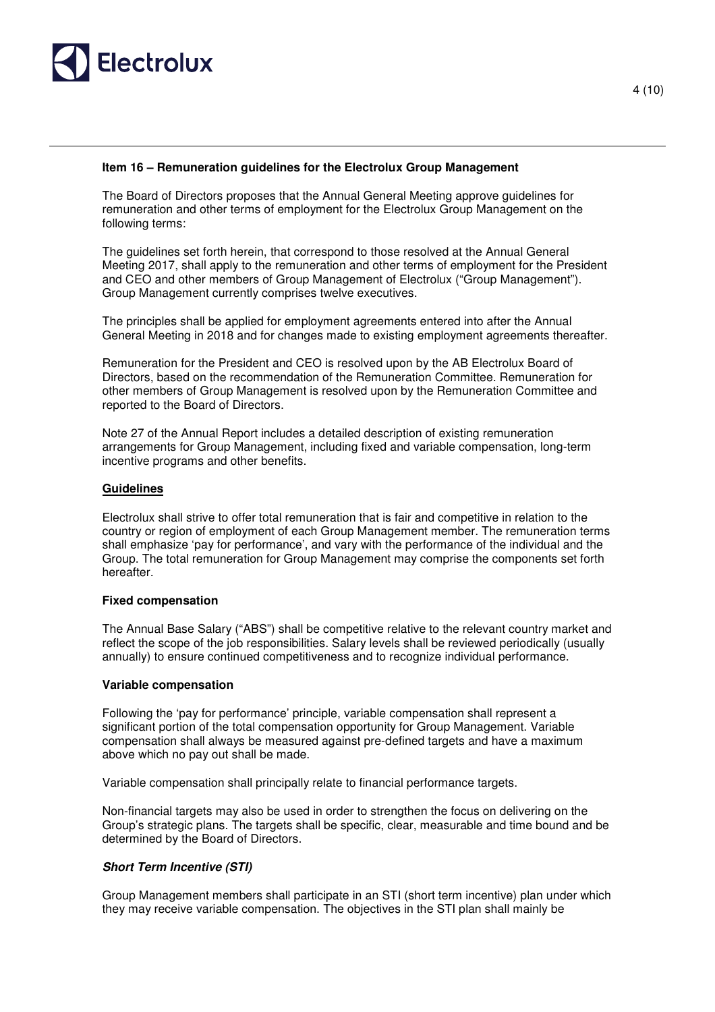

# **Item 16 – Remuneration guidelines for the Electrolux Group Management**

The Board of Directors proposes that the Annual General Meeting approve guidelines for remuneration and other terms of employment for the Electrolux Group Management on the following terms:

The guidelines set forth herein, that correspond to those resolved at the Annual General Meeting 2017, shall apply to the remuneration and other terms of employment for the President and CEO and other members of Group Management of Electrolux ("Group Management"). Group Management currently comprises twelve executives.

The principles shall be applied for employment agreements entered into after the Annual General Meeting in 2018 and for changes made to existing employment agreements thereafter.

Remuneration for the President and CEO is resolved upon by the AB Electrolux Board of Directors, based on the recommendation of the Remuneration Committee. Remuneration for other members of Group Management is resolved upon by the Remuneration Committee and reported to the Board of Directors.

Note 27 of the Annual Report includes a detailed description of existing remuneration arrangements for Group Management, including fixed and variable compensation, long-term incentive programs and other benefits.

# **Guidelines**

Electrolux shall strive to offer total remuneration that is fair and competitive in relation to the country or region of employment of each Group Management member. The remuneration terms shall emphasize 'pay for performance', and vary with the performance of the individual and the Group. The total remuneration for Group Management may comprise the components set forth hereafter.

### **Fixed compensation**

The Annual Base Salary ("ABS") shall be competitive relative to the relevant country market and reflect the scope of the job responsibilities. Salary levels shall be reviewed periodically (usually annually) to ensure continued competitiveness and to recognize individual performance.

### **Variable compensation**

Following the 'pay for performance' principle, variable compensation shall represent a significant portion of the total compensation opportunity for Group Management. Variable compensation shall always be measured against pre-defined targets and have a maximum above which no pay out shall be made.

Variable compensation shall principally relate to financial performance targets.

Non-financial targets may also be used in order to strengthen the focus on delivering on the Group's strategic plans. The targets shall be specific, clear, measurable and time bound and be determined by the Board of Directors.

### **Short Term Incentive (STI)**

Group Management members shall participate in an STI (short term incentive) plan under which they may receive variable compensation. The objectives in the STI plan shall mainly be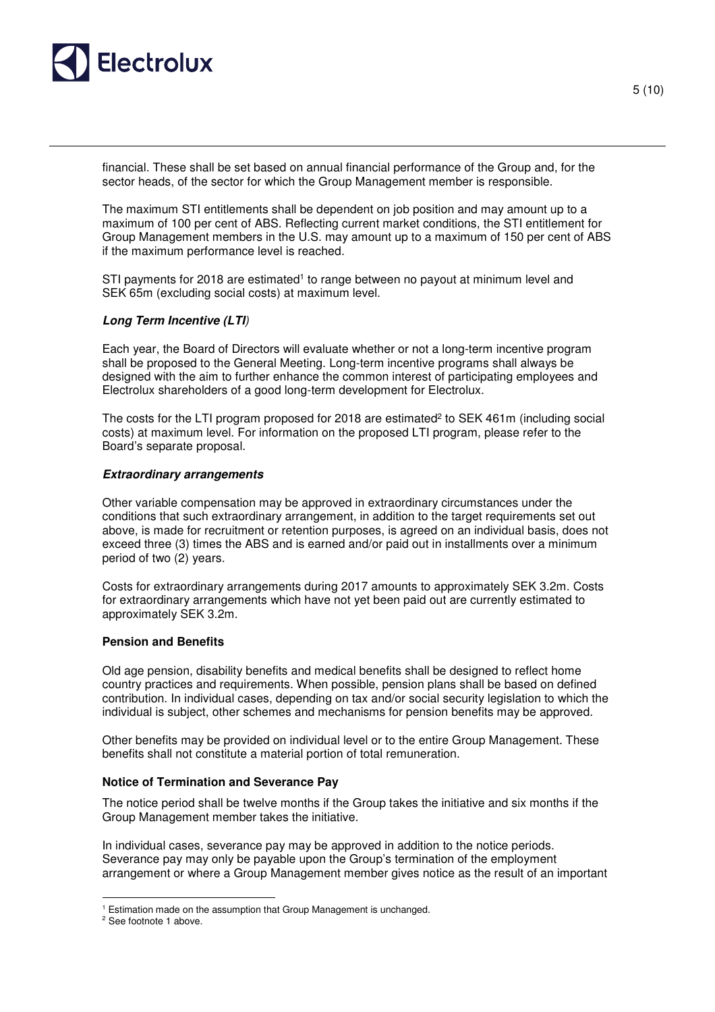

financial. These shall be set based on annual financial performance of the Group and, for the sector heads, of the sector for which the Group Management member is responsible.

The maximum STI entitlements shall be dependent on job position and may amount up to a maximum of 100 per cent of ABS. Reflecting current market conditions, the STI entitlement for Group Management members in the U.S. may amount up to a maximum of 150 per cent of ABS if the maximum performance level is reached.

STI payments for 2018 are estimated<sup>1</sup> to range between no payout at minimum level and SEK 65m (excluding social costs) at maximum level.

### **Long Term Incentive (LTI**)

Each year, the Board of Directors will evaluate whether or not a long-term incentive program shall be proposed to the General Meeting. Long-term incentive programs shall always be designed with the aim to further enhance the common interest of participating employees and Electrolux shareholders of a good long-term development for Electrolux.

The costs for the LTI program proposed for 2018 are estimated<sup>2</sup> to SEK 461m (including social costs) at maximum level. For information on the proposed LTI program, please refer to the Board's separate proposal.

#### **Extraordinary arrangements**

Other variable compensation may be approved in extraordinary circumstances under the conditions that such extraordinary arrangement, in addition to the target requirements set out above, is made for recruitment or retention purposes, is agreed on an individual basis, does not exceed three (3) times the ABS and is earned and/or paid out in installments over a minimum period of two (2) years.

Costs for extraordinary arrangements during 2017 amounts to approximately SEK 3.2m. Costs for extraordinary arrangements which have not yet been paid out are currently estimated to approximately SEK 3.2m.

### **Pension and Benefits**

Old age pension, disability benefits and medical benefits shall be designed to reflect home country practices and requirements. When possible, pension plans shall be based on defined contribution. In individual cases, depending on tax and/or social security legislation to which the individual is subject, other schemes and mechanisms for pension benefits may be approved.

Other benefits may be provided on individual level or to the entire Group Management. These benefits shall not constitute a material portion of total remuneration.

#### **Notice of Termination and Severance Pay**

The notice period shall be twelve months if the Group takes the initiative and six months if the Group Management member takes the initiative.

In individual cases, severance pay may be approved in addition to the notice periods. Severance pay may only be payable upon the Group's termination of the employment arrangement or where a Group Management member gives notice as the result of an important

 $\overline{a}$ 

<sup>&</sup>lt;sup>1</sup> Estimation made on the assumption that Group Management is unchanged.

<sup>&</sup>lt;sup>2</sup> See footnote 1 above.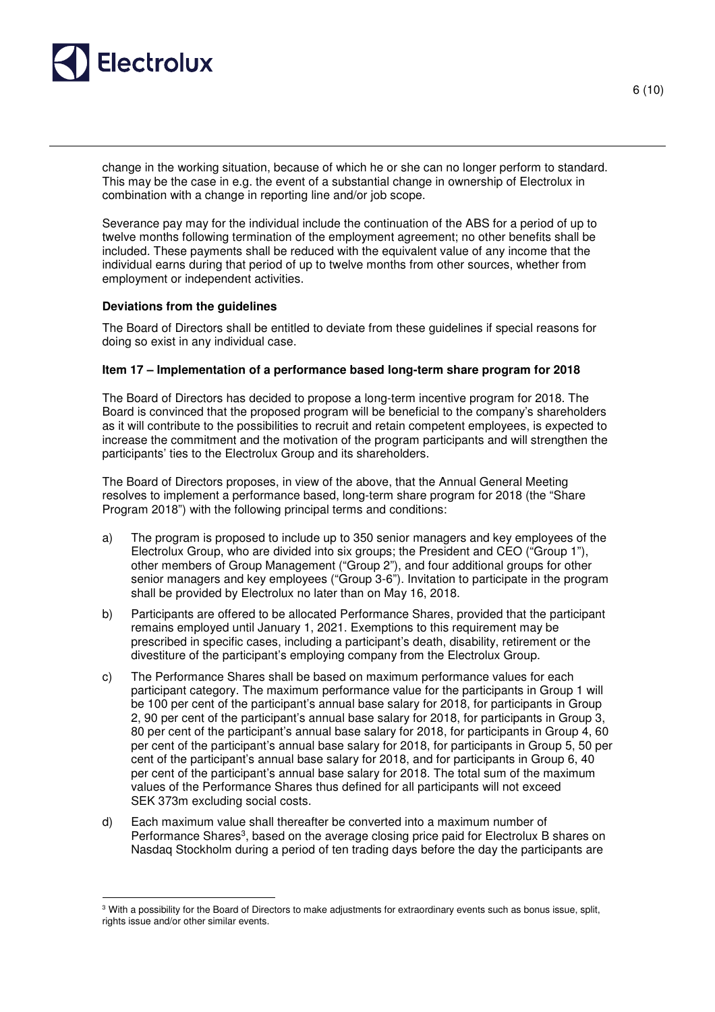

 $\overline{a}$ 

6 (10)

change in the working situation, because of which he or she can no longer perform to standard. This may be the case in e.g. the event of a substantial change in ownership of Electrolux in combination with a change in reporting line and/or job scope.

Severance pay may for the individual include the continuation of the ABS for a period of up to twelve months following termination of the employment agreement; no other benefits shall be included. These payments shall be reduced with the equivalent value of any income that the individual earns during that period of up to twelve months from other sources, whether from employment or independent activities.

# **Deviations from the guidelines**

The Board of Directors shall be entitled to deviate from these guidelines if special reasons for doing so exist in any individual case.

# **Item 17 – Implementation of a performance based long-term share program for 2018**

The Board of Directors has decided to propose a long-term incentive program for 2018. The Board is convinced that the proposed program will be beneficial to the company's shareholders as it will contribute to the possibilities to recruit and retain competent employees, is expected to increase the commitment and the motivation of the program participants and will strengthen the participants' ties to the Electrolux Group and its shareholders.

The Board of Directors proposes, in view of the above, that the Annual General Meeting resolves to implement a performance based, long-term share program for 2018 (the "Share Program 2018") with the following principal terms and conditions:

- a) The program is proposed to include up to 350 senior managers and key employees of the Electrolux Group, who are divided into six groups; the President and CEO ("Group 1"), other members of Group Management ("Group 2"), and four additional groups for other senior managers and key employees ("Group 3-6"). Invitation to participate in the program shall be provided by Electrolux no later than on May 16, 2018.
- b) Participants are offered to be allocated Performance Shares, provided that the participant remains employed until January 1, 2021. Exemptions to this requirement may be prescribed in specific cases, including a participant's death, disability, retirement or the divestiture of the participant's employing company from the Electrolux Group.
- c) The Performance Shares shall be based on maximum performance values for each participant category. The maximum performance value for the participants in Group 1 will be 100 per cent of the participant's annual base salary for 2018, for participants in Group 2, 90 per cent of the participant's annual base salary for 2018, for participants in Group 3, 80 per cent of the participant's annual base salary for 2018, for participants in Group 4, 60 per cent of the participant's annual base salary for 2018, for participants in Group 5, 50 per cent of the participant's annual base salary for 2018, and for participants in Group 6, 40 per cent of the participant's annual base salary for 2018. The total sum of the maximum values of the Performance Shares thus defined for all participants will not exceed SEK 373m excluding social costs.
- d) Each maximum value shall thereafter be converted into a maximum number of Performance Shares<sup>3</sup>, based on the average closing price paid for Electrolux B shares on Nasdaq Stockholm during a period of ten trading days before the day the participants are

<sup>&</sup>lt;sup>3</sup> With a possibility for the Board of Directors to make adjustments for extraordinary events such as bonus issue, split, rights issue and/or other similar events.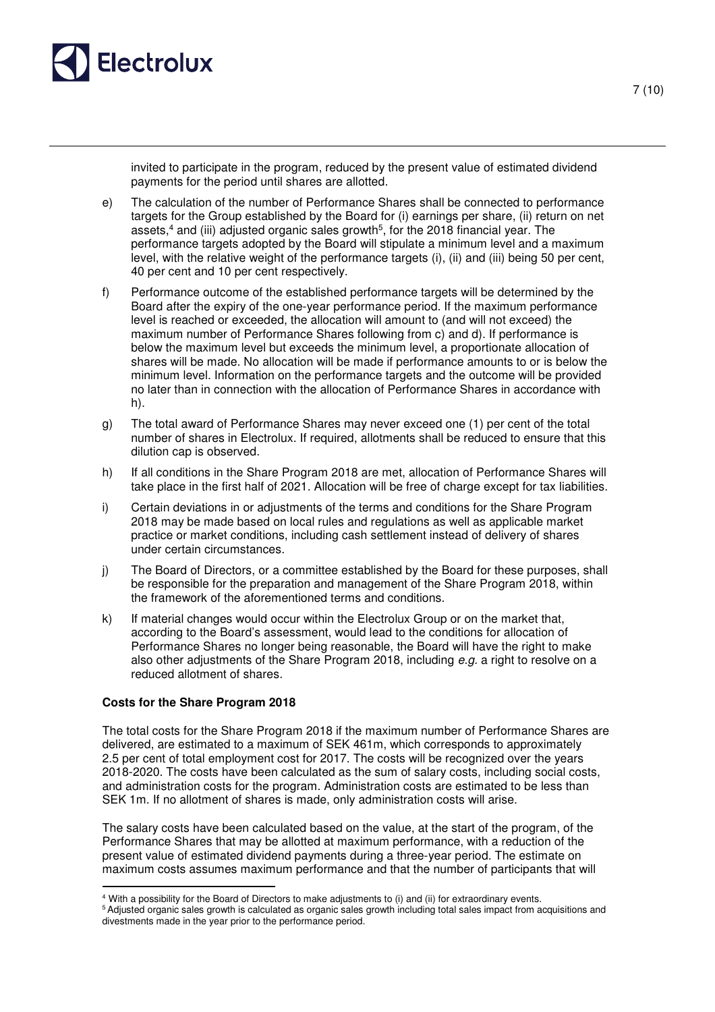

7 (10)

invited to participate in the program, reduced by the present value of estimated dividend payments for the period until shares are allotted.

- e) The calculation of the number of Performance Shares shall be connected to performance targets for the Group established by the Board for (i) earnings per share, (ii) return on net assets,<sup>4</sup> and (iii) adjusted organic sales growth<sup>5</sup>, for the 2018 financial year. The performance targets adopted by the Board will stipulate a minimum level and a maximum level, with the relative weight of the performance targets (i), (ii) and (iii) being 50 per cent, 40 per cent and 10 per cent respectively.
- f) Performance outcome of the established performance targets will be determined by the Board after the expiry of the one-year performance period. If the maximum performance level is reached or exceeded, the allocation will amount to (and will not exceed) the maximum number of Performance Shares following from c) and d). If performance is below the maximum level but exceeds the minimum level, a proportionate allocation of shares will be made. No allocation will be made if performance amounts to or is below the minimum level. Information on the performance targets and the outcome will be provided no later than in connection with the allocation of Performance Shares in accordance with h).
- g) The total award of Performance Shares may never exceed one (1) per cent of the total number of shares in Electrolux. If required, allotments shall be reduced to ensure that this dilution cap is observed.
- h) If all conditions in the Share Program 2018 are met, allocation of Performance Shares will take place in the first half of 2021. Allocation will be free of charge except for tax liabilities.
- i) Certain deviations in or adjustments of the terms and conditions for the Share Program 2018 may be made based on local rules and regulations as well as applicable market practice or market conditions, including cash settlement instead of delivery of shares under certain circumstances.
- j) The Board of Directors, or a committee established by the Board for these purposes, shall be responsible for the preparation and management of the Share Program 2018, within the framework of the aforementioned terms and conditions.
- k) If material changes would occur within the Electrolux Group or on the market that, according to the Board's assessment, would lead to the conditions for allocation of Performance Shares no longer being reasonable, the Board will have the right to make also other adjustments of the Share Program 2018, including e.g. a right to resolve on a reduced allotment of shares.

# **Costs for the Share Program 2018**

The total costs for the Share Program 2018 if the maximum number of Performance Shares are delivered, are estimated to a maximum of SEK 461m, which corresponds to approximately 2.5 per cent of total employment cost for 2017. The costs will be recognized over the years 2018-2020. The costs have been calculated as the sum of salary costs, including social costs, and administration costs for the program. Administration costs are estimated to be less than SEK 1m. If no allotment of shares is made, only administration costs will arise.

The salary costs have been calculated based on the value, at the start of the program, of the Performance Shares that may be allotted at maximum performance, with a reduction of the present value of estimated dividend payments during a three-year period. The estimate on maximum costs assumes maximum performance and that the number of participants that will  $\overline{a}$ 

<sup>4</sup> With a possibility for the Board of Directors to make adjustments to (i) and (ii) for extraordinary events.

<sup>5</sup>Adjusted organic sales growth is calculated as organic sales growth including total sales impact from acquisitions and divestments made in the year prior to the performance period.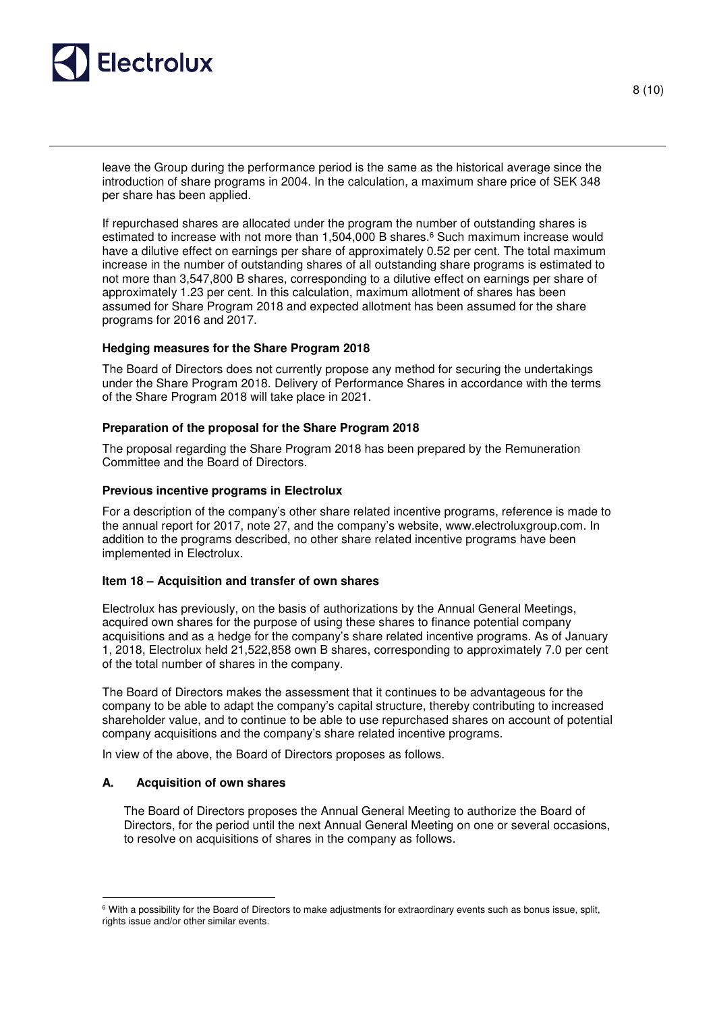

leave the Group during the performance period is the same as the historical average since the introduction of share programs in 2004. In the calculation, a maximum share price of SEK 348 per share has been applied.

If repurchased shares are allocated under the program the number of outstanding shares is estimated to increase with not more than 1,504,000 B shares.<sup>6</sup> Such maximum increase would have a dilutive effect on earnings per share of approximately 0.52 per cent. The total maximum increase in the number of outstanding shares of all outstanding share programs is estimated to not more than 3,547,800 B shares, corresponding to a dilutive effect on earnings per share of approximately 1.23 per cent. In this calculation, maximum allotment of shares has been assumed for Share Program 2018 and expected allotment has been assumed for the share programs for 2016 and 2017.

### **Hedging measures for the Share Program 2018**

The Board of Directors does not currently propose any method for securing the undertakings under the Share Program 2018. Delivery of Performance Shares in accordance with the terms of the Share Program 2018 will take place in 2021.

# **Preparation of the proposal for the Share Program 2018**

The proposal regarding the Share Program 2018 has been prepared by the Remuneration Committee and the Board of Directors.

# **Previous incentive programs in Electrolux**

For a description of the company's other share related incentive programs, reference is made to the annual report for 2017, note 27, and the company's website, www.electroluxgroup.com. In addition to the programs described, no other share related incentive programs have been implemented in Electrolux.

# **Item 18 – Acquisition and transfer of own shares**

Electrolux has previously, on the basis of authorizations by the Annual General Meetings, acquired own shares for the purpose of using these shares to finance potential company acquisitions and as a hedge for the company's share related incentive programs. As of January 1, 2018, Electrolux held 21,522,858 own B shares, corresponding to approximately 7.0 per cent of the total number of shares in the company.

The Board of Directors makes the assessment that it continues to be advantageous for the company to be able to adapt the company's capital structure, thereby contributing to increased shareholder value, and to continue to be able to use repurchased shares on account of potential company acquisitions and the company's share related incentive programs.

In view of the above, the Board of Directors proposes as follows.

# **A. Acquisition of own shares**

 $\overline{a}$ 

The Board of Directors proposes the Annual General Meeting to authorize the Board of Directors, for the period until the next Annual General Meeting on one or several occasions, to resolve on acquisitions of shares in the company as follows.

 $6$  With a possibility for the Board of Directors to make adjustments for extraordinary events such as bonus issue, split, rights issue and/or other similar events.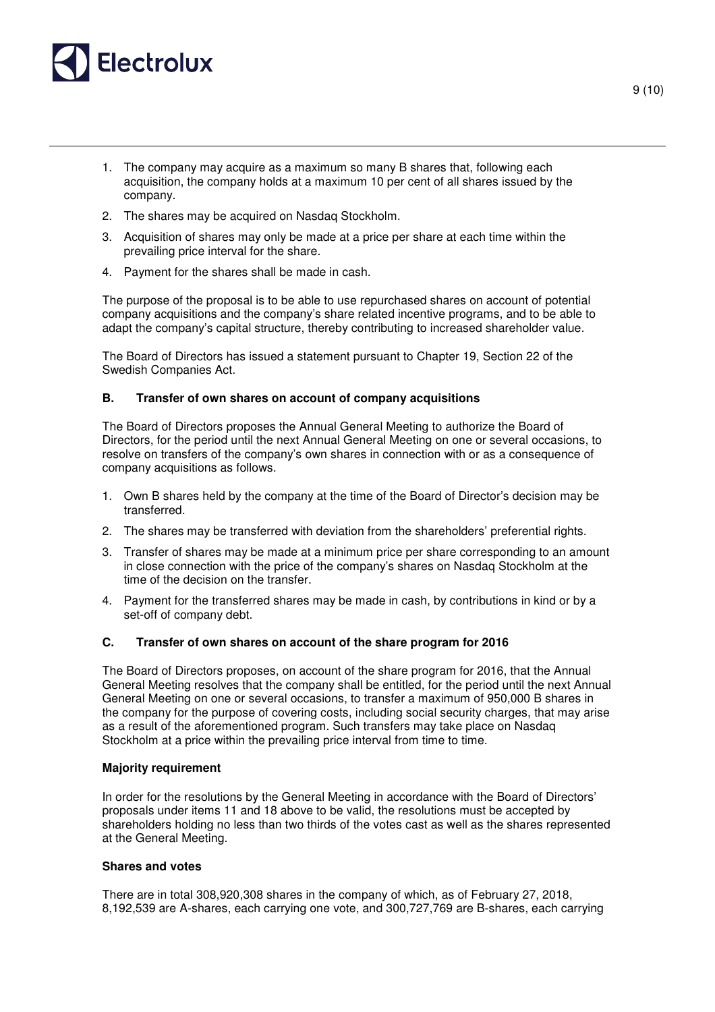

- 1. The company may acquire as a maximum so many B shares that, following each acquisition, the company holds at a maximum 10 per cent of all shares issued by the company.
- 2. The shares may be acquired on Nasdaq Stockholm.
- 3. Acquisition of shares may only be made at a price per share at each time within the prevailing price interval for the share.
- 4. Payment for the shares shall be made in cash.

The purpose of the proposal is to be able to use repurchased shares on account of potential company acquisitions and the company's share related incentive programs, and to be able to adapt the company's capital structure, thereby contributing to increased shareholder value.

The Board of Directors has issued a statement pursuant to Chapter 19, Section 22 of the Swedish Companies Act.

# **B. Transfer of own shares on account of company acquisitions**

The Board of Directors proposes the Annual General Meeting to authorize the Board of Directors, for the period until the next Annual General Meeting on one or several occasions, to resolve on transfers of the company's own shares in connection with or as a consequence of company acquisitions as follows.

- 1. Own B shares held by the company at the time of the Board of Director's decision may be transferred.
- 2. The shares may be transferred with deviation from the shareholders' preferential rights.
- 3. Transfer of shares may be made at a minimum price per share corresponding to an amount in close connection with the price of the company's shares on Nasdaq Stockholm at the time of the decision on the transfer.
- 4. Payment for the transferred shares may be made in cash, by contributions in kind or by a set-off of company debt.

### **C. Transfer of own shares on account of the share program for 2016**

The Board of Directors proposes, on account of the share program for 2016, that the Annual General Meeting resolves that the company shall be entitled, for the period until the next Annual General Meeting on one or several occasions, to transfer a maximum of 950,000 B shares in the company for the purpose of covering costs, including social security charges, that may arise as a result of the aforementioned program. Such transfers may take place on Nasdaq Stockholm at a price within the prevailing price interval from time to time.

### **Majority requirement**

In order for the resolutions by the General Meeting in accordance with the Board of Directors' proposals under items 11 and 18 above to be valid, the resolutions must be accepted by shareholders holding no less than two thirds of the votes cast as well as the shares represented at the General Meeting.

### **Shares and votes**

There are in total 308,920,308 shares in the company of which, as of February 27, 2018, 8,192,539 are A-shares, each carrying one vote, and 300,727,769 are B-shares, each carrying